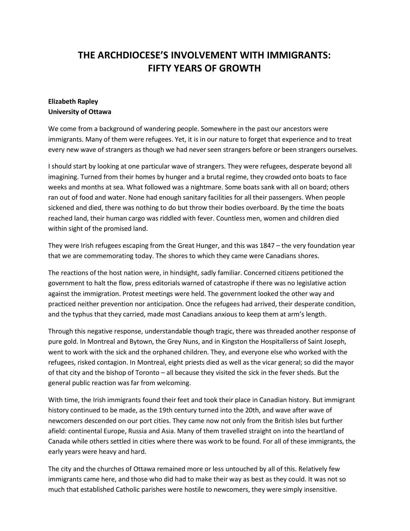## **THE ARCHDIOCESE'S INVOLVEMENT WITH IMMIGRANTS: FIFTY YEARS OF GROWTH**

## **Elizabeth Rapley University of Ottawa**

We come from a background of wandering people. Somewhere in the past our ancestors were immigrants. Many of them were refugees. Yet, it is in our nature to forget that experience and to treat every new wave of strangers as though we had never seen strangers before or been strangers ourselves.

I should start by looking at one particular wave of strangers. They were refugees, desperate beyond all imagining. Turned from their homes by hunger and a brutal regime, they crowded onto boats to face weeks and months at sea. What followed was a nightmare. Some boats sank with all on board; others ran out of food and water. None had enough sanitary facilities for all their passengers. When people sickened and died, there was nothing to do but throw their bodies overboard. By the time the boats reached land, their human cargo was riddled with fever. Countless men, women and children died within sight of the promised land.

They were Irish refugees escaping from the Great Hunger, and this was 1847 – the very foundation year that we are commemorating today. The shores to which they came were Canadians shores.

The reactions of the host nation were, in hindsight, sadly familiar. Concerned citizens petitioned the government to halt the flow, press editorials warned of catastrophe if there was no legislative action against the immigration. Protest meetings were held. The government looked the other way and practiced neither prevention nor anticipation. Once the refugees had arrived, their desperate condition, and the typhus that they carried, made most Canadians anxious to keep them at arm's length.

Through this negative response, understandable though tragic, there was threaded another response of pure gold. In Montreal and Bytown, the Grey Nuns, and in Kingston the Hospitallerss of Saint Joseph, went to work with the sick and the orphaned children. They, and everyone else who worked with the refugees, risked contagion. In Montreal, eight priests died as well as the vicar general; so did the mayor of that city and the bishop of Toronto – all because they visited the sick in the fever sheds. But the general public reaction was far from welcoming.

With time, the Irish immigrants found their feet and took their place in Canadian history. But immigrant history continued to be made, as the 19th century turned into the 20th, and wave after wave of newcomers descended on our port cities. They came now not only from the British Isles but further afield: continental Europe, Russia and Asia. Many of them travelled straight on into the heartland of Canada while others settled in cities where there was work to be found. For all of these immigrants, the early years were heavy and hard.

The city and the churches of Ottawa remained more or less untouched by all of this. Relatively few immigrants came here, and those who did had to make their way as best as they could. It was not so much that established Catholic parishes were hostile to newcomers, they were simply insensitive.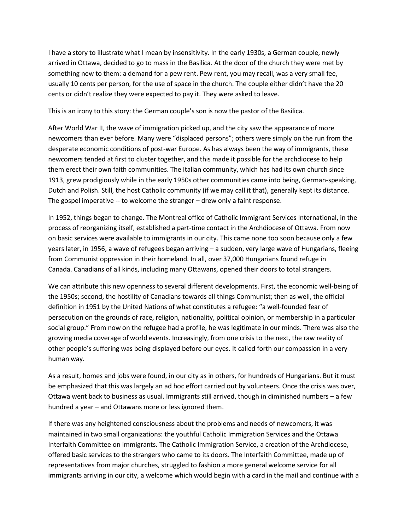I have a story to illustrate what I mean by insensitivity. In the early 1930s, a German couple, newly arrived in Ottawa, decided to go to mass in the Basilica. At the door of the church they were met by something new to them: a demand for a pew rent. Pew rent, you may recall, was a very small fee, usually 10 cents per person, for the use of space in the church. The couple either didn't have the 20 cents or didn't realize they were expected to pay it. They were asked to leave.

This is an irony to this story: the German couple's son is now the pastor of the Basilica.

After World War II, the wave of immigration picked up, and the city saw the appearance of more newcomers than ever before. Many were "displaced persons"; others were simply on the run from the desperate economic conditions of post-war Europe. As has always been the way of immigrants, these newcomers tended at first to cluster together, and this made it possible for the archdiocese to help them erect their own faith communities. The Italian community, which has had its own church since 1913, grew prodigiously while in the early 1950s other communities came into being, German-speaking, Dutch and Polish. Still, the host Catholic community (if we may call it that), generally kept its distance. The gospel imperative -- to welcome the stranger – drew only a faint response.

In 1952, things began to change. The Montreal office of Catholic Immigrant Services International, in the process of reorganizing itself, established a part-time contact in the Archdiocese of Ottawa. From now on basic services were available to immigrants in our city. This came none too soon because only a few years later, in 1956, a wave of refugees began arriving – a sudden, very large wave of Hungarians, fleeing from Communist oppression in their homeland. In all, over 37,000 Hungarians found refuge in Canada. Canadians of all kinds, including many Ottawans, opened their doors to total strangers.

We can attribute this new openness to several different developments. First, the economic well-being of the 1950s; second, the hostility of Canadians towards all things Communist; then as well, the official definition in 1951 by the United Nations of what constitutes a refugee: "a well-founded fear of persecution on the grounds of race, religion, nationality, political opinion, or membership in a particular social group." From now on the refugee had a profile, he was legitimate in our minds. There was also the growing media coverage of world events. Increasingly, from one crisis to the next, the raw reality of other people's suffering was being displayed before our eyes. It called forth our compassion in a very human way.

As a result, homes and jobs were found, in our city as in others, for hundreds of Hungarians. But it must be emphasized that this was largely an ad hoc effort carried out by volunteers. Once the crisis was over, Ottawa went back to business as usual. Immigrants still arrived, though in diminished numbers – a few hundred a year – and Ottawans more or less ignored them.

If there was any heightened consciousness about the problems and needs of newcomers, it was maintained in two small organizations: the youthful Catholic Immigration Services and the Ottawa Interfaith Committee on Immigrants. The Catholic Immigration Service, a creation of the Archdiocese, offered basic services to the strangers who came to its doors. The Interfaith Committee, made up of representatives from major churches, struggled to fashion a more general welcome service for all immigrants arriving in our city, a welcome which would begin with a card in the mail and continue with a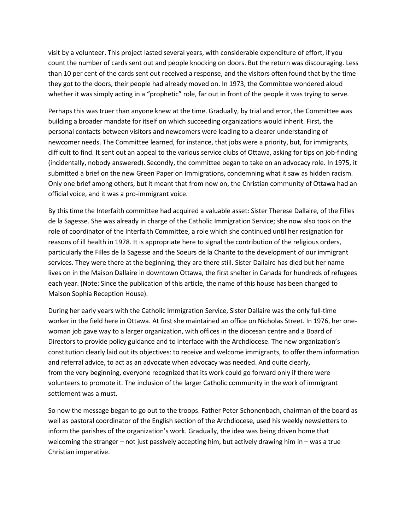visit by a volunteer. This project lasted several years, with considerable expenditure of effort, if you count the number of cards sent out and people knocking on doors. But the return was discouraging. Less than 10 per cent of the cards sent out received a response, and the visitors often found that by the time they got to the doors, their people had already moved on. In 1973, the Committee wondered aloud whether it was simply acting in a "prophetic" role, far out in front of the people it was trying to serve.

Perhaps this was truer than anyone knew at the time. Gradually, by trial and error, the Committee was building a broader mandate for itself on which succeeding organizations would inherit. First, the personal contacts between visitors and newcomers were leading to a clearer understanding of newcomer needs. The Committee learned, for instance, that jobs were a priority, but, for immigrants, difficult to find. It sent out an appeal to the various service clubs of Ottawa, asking for tips on job-finding (incidentally, nobody answered). Secondly, the committee began to take on an advocacy role. In 1975, it submitted a brief on the new Green Paper on Immigrations, condemning what it saw as hidden racism. Only one brief among others, but it meant that from now on, the Christian community of Ottawa had an official voice, and it was a pro-immigrant voice.

By this time the Interfaith committee had acquired a valuable asset: Sister Therese Dallaire, of the Filles de la Sagesse. She was already in charge of the Catholic Immigration Service; she now also took on the role of coordinator of the Interfaith Committee, a role which she continued until her resignation for reasons of ill health in 1978. It is appropriate here to signal the contribution of the religious orders, particularly the Filles de la Sagesse and the Soeurs de la Charite to the development of our immigrant services. They were there at the beginning, they are there still. Sister Dallaire has died but her name lives on in the Maison Dallaire in downtown Ottawa, the first shelter in Canada for hundreds of refugees each year. (Note: Since the publication of this article, the name of this house has been changed to Maison Sophia Reception House).

During her early years with the Catholic Immigration Service, Sister Dallaire was the only full-time worker in the field here in Ottawa. At first she maintained an office on Nicholas Street. In 1976, her onewoman job gave way to a larger organization, with offices in the diocesan centre and a Board of Directors to provide policy guidance and to interface with the Archdiocese. The new organization's constitution clearly laid out its objectives: to receive and welcome immigrants, to offer them information and referral advice, to act as an advocate when advocacy was needed. And quite clearly, from the very beginning, everyone recognized that its work could go forward only if there were volunteers to promote it. The inclusion of the larger Catholic community in the work of immigrant settlement was a must.

So now the message began to go out to the troops. Father Peter Schonenbach, chairman of the board as well as pastoral coordinator of the English section of the Archdiocese, used his weekly newsletters to inform the parishes of the organization's work. Gradually, the idea was being driven home that welcoming the stranger – not just passively accepting him, but actively drawing him in – was a true Christian imperative.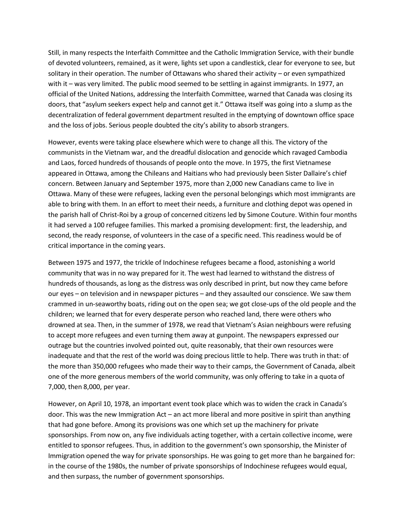Still, in many respects the Interfaith Committee and the Catholic Immigration Service, with their bundle of devoted volunteers, remained, as it were, lights set upon a candlestick, clear for everyone to see, but solitary in their operation. The number of Ottawans who shared their activity – or even sympathized with it – was very limited. The public mood seemed to be settling in against immigrants. In 1977, an official of the United Nations, addressing the Interfaith Committee, warned that Canada was closing its doors, that "asylum seekers expect help and cannot get it." Ottawa itself was going into a slump as the decentralization of federal government department resulted in the emptying of downtown office space and the loss of jobs. Serious people doubted the city's ability to absorb strangers.

However, events were taking place elsewhere which were to change all this. The victory of the communists in the Vietnam war, and the dreadful dislocation and genocide which ravaged Cambodia and Laos, forced hundreds of thousands of people onto the move. In 1975, the first Vietnamese appeared in Ottawa, among the Chileans and Haitians who had previously been Sister Dallaire's chief concern. Between January and September 1975, more than 2,000 new Canadians came to live in Ottawa. Many of these were refugees, lacking even the personal belongings which most immigrants are able to bring with them. In an effort to meet their needs, a furniture and clothing depot was opened in the parish hall of Christ-Roi by a group of concerned citizens led by Simone Couture. Within four months it had served a 100 refugee families. This marked a promising development: first, the leadership, and second, the ready response, of volunteers in the case of a specific need. This readiness would be of critical importance in the coming years.

Between 1975 and 1977, the trickle of Indochinese refugees became a flood, astonishing a world community that was in no way prepared for it. The west had learned to withstand the distress of hundreds of thousands, as long as the distress was only described in print, but now they came before our eyes – on television and in newspaper pictures – and they assaulted our conscience. We saw them crammed in un-seaworthy boats, riding out on the open sea; we got close-ups of the old people and the children; we learned that for every desperate person who reached land, there were others who drowned at sea. Then, in the summer of 1978, we read that Vietnam's Asian neighbours were refusing to accept more refugees and even turning them away at gunpoint. The newspapers expressed our outrage but the countries involved pointed out, quite reasonably, that their own resources were inadequate and that the rest of the world was doing precious little to help. There was truth in that: of the more than 350,000 refugees who made their way to their camps, the Government of Canada, albeit one of the more generous members of the world community, was only offering to take in a quota of 7,000, then 8,000, per year.

However, on April 10, 1978, an important event took place which was to widen the crack in Canada's door. This was the new Immigration Act – an act more liberal and more positive in spirit than anything that had gone before. Among its provisions was one which set up the machinery for private sponsorships. From now on, any five individuals acting together, with a certain collective income, were entitled to sponsor refugees. Thus, in addition to the government's own sponsorship, the Minister of Immigration opened the way for private sponsorships. He was going to get more than he bargained for: in the course of the 1980s, the number of private sponsorships of Indochinese refugees would equal, and then surpass, the number of government sponsorships.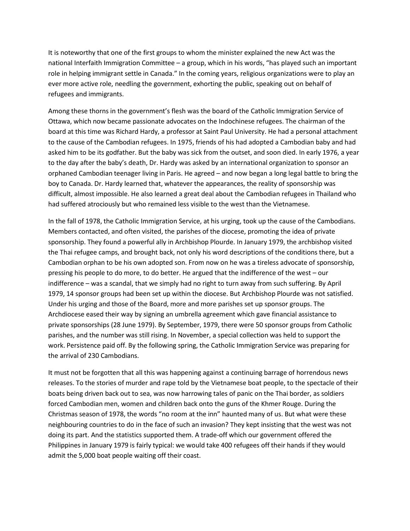It is noteworthy that one of the first groups to whom the minister explained the new Act was the national Interfaith Immigration Committee – a group, which in his words, "has played such an important role in helping immigrant settle in Canada." In the coming years, religious organizations were to play an ever more active role, needling the government, exhorting the public, speaking out on behalf of refugees and immigrants.

Among these thorns in the government's flesh was the board of the Catholic Immigration Service of Ottawa, which now became passionate advocates on the Indochinese refugees. The chairman of the board at this time was Richard Hardy, a professor at Saint Paul University. He had a personal attachment to the cause of the Cambodian refugees. In 1975, friends of his had adopted a Cambodian baby and had asked him to be its godfather. But the baby was sick from the outset, and soon died. In early 1976, a year to the day after the baby's death, Dr. Hardy was asked by an international organization to sponsor an orphaned Cambodian teenager living in Paris. He agreed – and now began a long legal battle to bring the boy to Canada. Dr. Hardy learned that, whatever the appearances, the reality of sponsorship was difficult, almost impossible. He also learned a great deal about the Cambodian refugees in Thailand who had suffered atrociously but who remained less visible to the west than the Vietnamese.

In the fall of 1978, the Catholic Immigration Service, at his urging, took up the cause of the Cambodians. Members contacted, and often visited, the parishes of the diocese, promoting the idea of private sponsorship. They found a powerful ally in Archbishop Plourde. In January 1979, the archbishop visited the Thai refugee camps, and brought back, not only his word descriptions of the conditions there, but a Cambodian orphan to be his own adopted son. From now on he was a tireless advocate of sponsorship, pressing his people to do more, to do better. He argued that the indifference of the west – our indifference – was a scandal, that we simply had no right to turn away from such suffering. By April 1979, 14 sponsor groups had been set up within the diocese. But Archbishop Plourde was not satisfied. Under his urging and those of the Board, more and more parishes set up sponsor groups. The Archdiocese eased their way by signing an umbrella agreement which gave financial assistance to private sponsorships (28 June 1979). By September, 1979, there were 50 sponsor groups from Catholic parishes, and the number was still rising. In November, a special collection was held to support the work. Persistence paid off. By the following spring, the Catholic Immigration Service was preparing for the arrival of 230 Cambodians.

It must not be forgotten that all this was happening against a continuing barrage of horrendous news releases. To the stories of murder and rape told by the Vietnamese boat people, to the spectacle of their boats being driven back out to sea, was now harrowing tales of panic on the Thai border, as soldiers forced Cambodian men, women and children back onto the guns of the Khmer Rouge. During the Christmas season of 1978, the words "no room at the inn" haunted many of us. But what were these neighbouring countries to do in the face of such an invasion? They kept insisting that the west was not doing its part. And the statistics supported them. A trade-off which our government offered the Philippines in January 1979 is fairly typical: we would take 400 refugees off their hands if they would admit the 5,000 boat people waiting off their coast.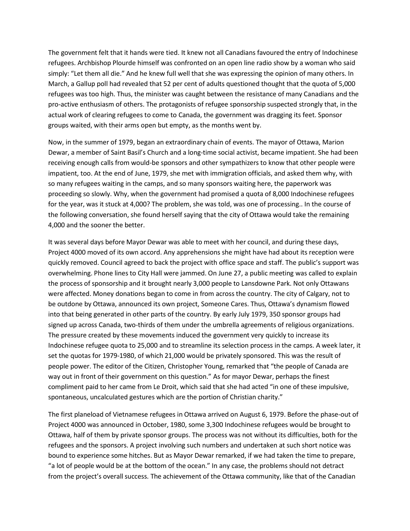The government felt that it hands were tied. It knew not all Canadians favoured the entry of Indochinese refugees. Archbishop Plourde himself was confronted on an open line radio show by a woman who said simply: "Let them all die." And he knew full well that she was expressing the opinion of many others. In March, a Gallup poll had revealed that 52 per cent of adults questioned thought that the quota of 5,000 refugees was too high. Thus, the minister was caught between the resistance of many Canadians and the pro-active enthusiasm of others. The protagonists of refugee sponsorship suspected strongly that, in the actual work of clearing refugees to come to Canada, the government was dragging its feet. Sponsor groups waited, with their arms open but empty, as the months went by.

Now, in the summer of 1979, began an extraordinary chain of events. The mayor of Ottawa, Marion Dewar, a member of Saint Basil's Church and a long-time social activist, became impatient. She had been receiving enough calls from would-be sponsors and other sympathizers to know that other people were impatient, too. At the end of June, 1979, she met with immigration officials, and asked them why, with so many refugees waiting in the camps, and so many sponsors waiting here, the paperwork was proceeding so slowly. Why, when the government had promised a quota of 8,000 Indochinese refugees for the year, was it stuck at 4,000? The problem, she was told, was one of processing.. In the course of the following conversation, she found herself saying that the city of Ottawa would take the remaining 4,000 and the sooner the better.

It was several days before Mayor Dewar was able to meet with her council, and during these days, Project 4000 moved of its own accord. Any apprehensions she might have had about its reception were quickly removed. Council agreed to back the project with office space and staff. The public's support was overwhelming. Phone lines to City Hall were jammed. On June 27, a public meeting was called to explain the process of sponsorship and it brought nearly 3,000 people to Lansdowne Park. Not only Ottawans were affected. Money donations began to come in from across the country. The city of Calgary, not to be outdone by Ottawa, announced its own project, Someone Cares. Thus, Ottawa's dynamism flowed into that being generated in other parts of the country. By early July 1979, 350 sponsor groups had signed up across Canada, two-thirds of them under the umbrella agreements of religious organizations. The pressure created by these movements induced the government very quickly to increase its Indochinese refugee quota to 25,000 and to streamline its selection process in the camps. A week later, it set the quotas for 1979-1980, of which 21,000 would be privately sponsored. This was the result of people power. The editor of the Citizen, Christopher Young, remarked that "the people of Canada are way out in front of their government on this question." As for mayor Dewar, perhaps the finest compliment paid to her came from Le Droit, which said that she had acted "in one of these impulsive, spontaneous, uncalculated gestures which are the portion of Christian charity."

The first planeload of Vietnamese refugees in Ottawa arrived on August 6, 1979. Before the phase-out of Project 4000 was announced in October, 1980, some 3,300 Indochinese refugees would be brought to Ottawa, half of them by private sponsor groups. The process was not without its difficulties, both for the refugees and the sponsors. A project involving such numbers and undertaken at such short notice was bound to experience some hitches. But as Mayor Dewar remarked, if we had taken the time to prepare, "a lot of people would be at the bottom of the ocean." In any case, the problems should not detract from the project's overall success. The achievement of the Ottawa community, like that of the Canadian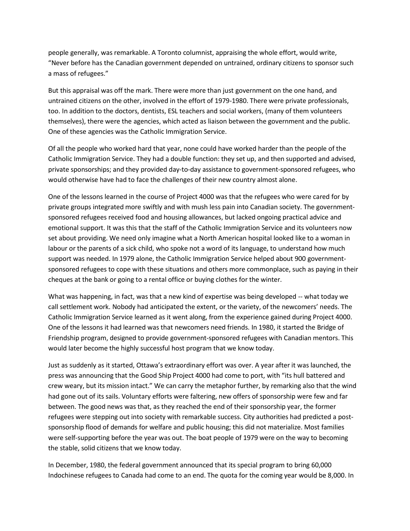people generally, was remarkable. A Toronto columnist, appraising the whole effort, would write, "Never before has the Canadian government depended on untrained, ordinary citizens to sponsor such a mass of refugees."

But this appraisal was off the mark. There were more than just government on the one hand, and untrained citizens on the other, involved in the effort of 1979-1980. There were private professionals, too. In addition to the doctors, dentists, ESL teachers and social workers, (many of them volunteers themselves), there were the agencies, which acted as liaison between the government and the public. One of these agencies was the Catholic Immigration Service.

Of all the people who worked hard that year, none could have worked harder than the people of the Catholic Immigration Service. They had a double function: they set up, and then supported and advised, private sponsorships; and they provided day-to-day assistance to government-sponsored refugees, who would otherwise have had to face the challenges of their new country almost alone.

One of the lessons learned in the course of Project 4000 was that the refugees who were cared for by private groups integrated more swiftly and with mush less pain into Canadian society. The governmentsponsored refugees received food and housing allowances, but lacked ongoing practical advice and emotional support. It was this that the staff of the Catholic Immigration Service and its volunteers now set about providing. We need only imagine what a North American hospital looked like to a woman in labour or the parents of a sick child, who spoke not a word of its language, to understand how much support was needed. In 1979 alone, the Catholic Immigration Service helped about 900 governmentsponsored refugees to cope with these situations and others more commonplace, such as paying in their cheques at the bank or going to a rental office or buying clothes for the winter.

What was happening, in fact, was that a new kind of expertise was being developed -- what today we call settlement work. Nobody had anticipated the extent, or the variety, of the newcomers' needs. The Catholic Immigration Service learned as it went along, from the experience gained during Project 4000. One of the lessons it had learned was that newcomers need friends. In 1980, it started the Bridge of Friendship program, designed to provide government-sponsored refugees with Canadian mentors. This would later become the highly successful host program that we know today.

Just as suddenly as it started, Ottawa's extraordinary effort was over. A year after it was launched, the press was announcing that the Good Ship Project 4000 had come to port, with "its hull battered and crew weary, but its mission intact." We can carry the metaphor further, by remarking also that the wind had gone out of its sails. Voluntary efforts were faltering, new offers of sponsorship were few and far between. The good news was that, as they reached the end of their sponsorship year, the former refugees were stepping out into society with remarkable success. City authorities had predicted a postsponsorship flood of demands for welfare and public housing; this did not materialize. Most families were self-supporting before the year was out. The boat people of 1979 were on the way to becoming the stable, solid citizens that we know today.

In December, 1980, the federal government announced that its special program to bring 60,000 Indochinese refugees to Canada had come to an end. The quota for the coming year would be 8,000. In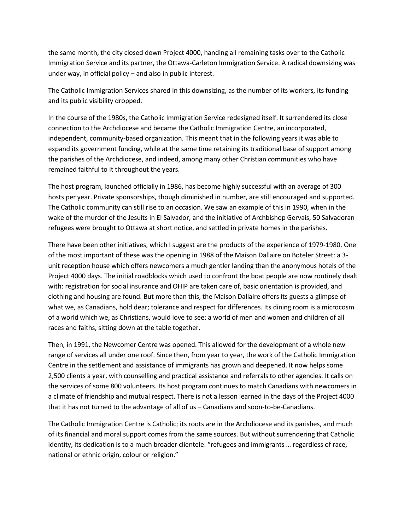the same month, the city closed down Project 4000, handing all remaining tasks over to the Catholic Immigration Service and its partner, the Ottawa-Carleton Immigration Service. A radical downsizing was under way, in official policy – and also in public interest.

The Catholic Immigration Services shared in this downsizing, as the number of its workers, its funding and its public visibility dropped.

In the course of the 1980s, the Catholic Immigration Service redesigned itself. It surrendered its close connection to the Archdiocese and became the Catholic Immigration Centre, an incorporated, independent, community-based organization. This meant that in the following years it was able to expand its government funding, while at the same time retaining its traditional base of support among the parishes of the Archdiocese, and indeed, among many other Christian communities who have remained faithful to it throughout the years.

The host program, launched officially in 1986, has become highly successful with an average of 300 hosts per year. Private sponsorships, though diminished in number, are still encouraged and supported. The Catholic community can still rise to an occasion. We saw an example of this in 1990, when in the wake of the murder of the Jesuits in El Salvador, and the initiative of Archbishop Gervais, 50 Salvadoran refugees were brought to Ottawa at short notice, and settled in private homes in the parishes.

There have been other initiatives, which I suggest are the products of the experience of 1979-1980. One of the most important of these was the opening in 1988 of the Maison Dallaire on Boteler Street: a 3 unit reception house which offers newcomers a much gentler landing than the anonymous hotels of the Project 4000 days. The initial roadblocks which used to confront the boat people are now routinely dealt with: registration for social insurance and OHIP are taken care of, basic orientation is provided, and clothing and housing are found. But more than this, the Maison Dallaire offers its guests a glimpse of what we, as Canadians, hold dear; tolerance and respect for differences. Its dining room is a microcosm of a world which we, as Christians, would love to see: a world of men and women and children of all races and faiths, sitting down at the table together.

Then, in 1991, the Newcomer Centre was opened. This allowed for the development of a whole new range of services all under one roof. Since then, from year to year, the work of the Catholic Immigration Centre in the settlement and assistance of immigrants has grown and deepened. It now helps some 2,500 clients a year, with counselling and practical assistance and referralsto other agencies. It calls on the services of some 800 volunteers. Its host program continues to match Canadians with newcomers in a climate of friendship and mutual respect. There is not a lesson learned in the days of the Project 4000 that it has not turned to the advantage of all of us – Canadians and soon-to-be-Canadians.

The Catholic Immigration Centre is Catholic; its roots are in the Archdiocese and its parishes, and much of its financial and moral support comes from the same sources. But without surrendering that Catholic identity, its dedication is to a much broader clientele: "refugees and immigrants … regardless of race, national or ethnic origin, colour or religion."